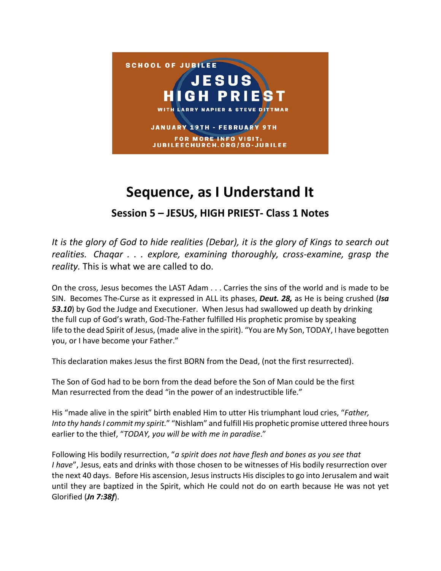

## **Sequence, as I Understand It Session 5 – JESUS, HIGH PRIEST- Class 1 Notes**

*It is the glory of God to hide realities (Debar), it is the glory of Kings to search out realities. Chaqar . . . explore, examining thoroughly, cross-examine, grasp the reality.* This is what we are called to do.

On the cross, Jesus becomes the LAST Adam . . . Carries the sins of the world and is made to be SIN. Becomes The-Curse as it expressed in ALL its phases, *Deut. 28,* as He is being crushed (*Isa 53.10*) by God the Judge and Executioner. When Jesus had swallowed up death by drinking the full cup of God's wrath, God-The-Father fulfilled His prophetic promise by speaking life to the dead Spirit of Jesus, (made alive in the spirit). "You are My Son, TODAY, I have begotten you, or I have become your Father."

This declaration makes Jesus the first BORN from the Dead, (not the first resurrected).

The Son of God had to be born from the dead before the Son of Man could be the first Man resurrected from the dead "in the power of an indestructible life."

His "made alive in the spirit" birth enabled Him to utter His triumphant loud cries, "*Father, Into thy hands I commit my spirit.*" "Nishlam" and fulfill His prophetic promise uttered three hours earlier to the thief, "*TODAY, you will be with me in paradise*."

Following His bodily resurrection, "*a spirit does not have flesh and bones as you see that I have*", Jesus, eats and drinks with those chosen to be witnesses of His bodily resurrection over the next 40 days. Before His ascension, Jesus instructs His disciples to go into Jerusalem and wait until they are baptized in the Spirit, which He could not do on earth because He was not yet Glorified (*Jn 7:38f*).